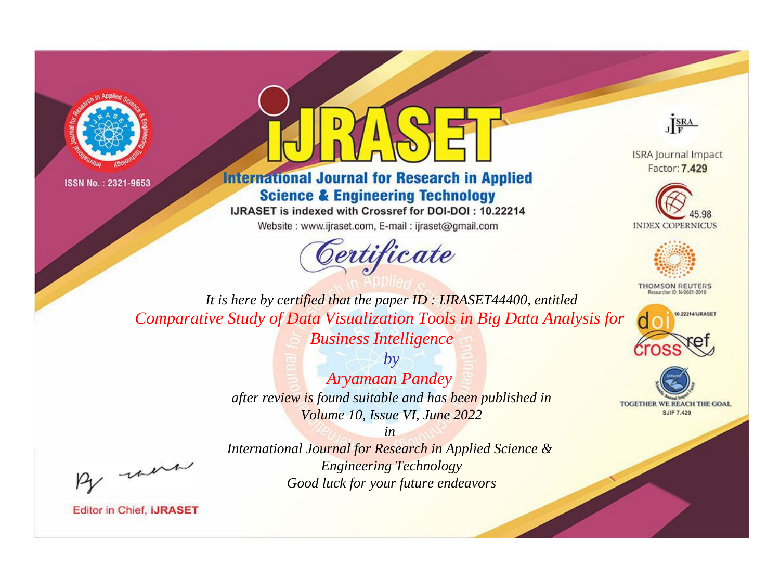



## **International Journal for Research in Applied Science & Engineering Technology**

IJRASET is indexed with Crossref for DOI-DOI: 10.22214

Website: www.ijraset.com, E-mail: ijraset@gmail.com





**ISRA Journal Impact** Factor: 7.429





**THOMSON REUTERS** 



TOGETHER WE REACH THE GOAL **SJIF 7.429** 

*It is here by certified that the paper ID : IJRASET44400, entitled Comparative Study of Data Visualization Tools in Big Data Analysis for Business Intelligence*

> *by Aryamaan Pandey after review is found suitable and has been published in Volume 10, Issue VI, June 2022*

were

*International Journal for Research in Applied Science & Engineering Technology Good luck for your future endeavors*

*in*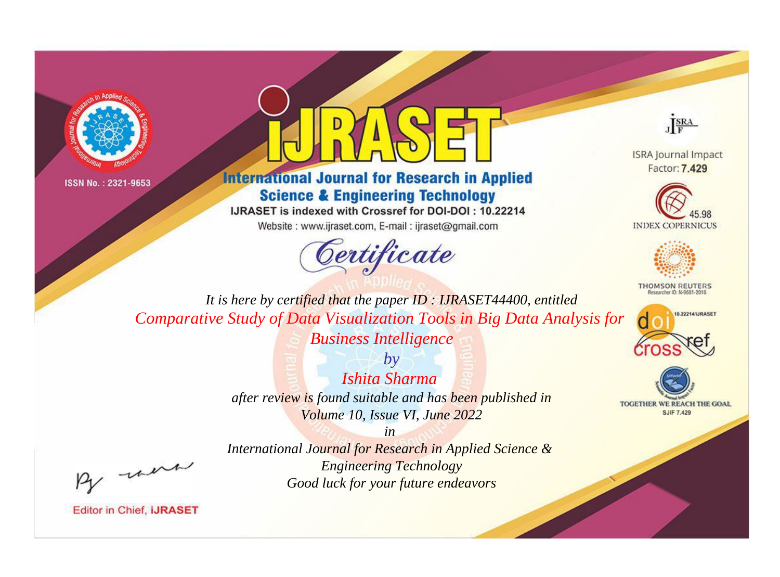



## **International Journal for Research in Applied Science & Engineering Technology**

IJRASET is indexed with Crossref for DOI-DOI: 10.22214

Website: www.ijraset.com, E-mail: ijraset@gmail.com





**ISRA Journal Impact** Factor: 7.429





**THOMSON REUTERS** 



TOGETHER WE REACH THE GOAL **SJIF 7.429** 

*It is here by certified that the paper ID : IJRASET44400, entitled Comparative Study of Data Visualization Tools in Big Data Analysis for Business Intelligence*

> *by Ishita Sharma after review is found suitable and has been published in Volume 10, Issue VI, June 2022*

, un

*International Journal for Research in Applied Science & Engineering Technology Good luck for your future endeavors*

*in*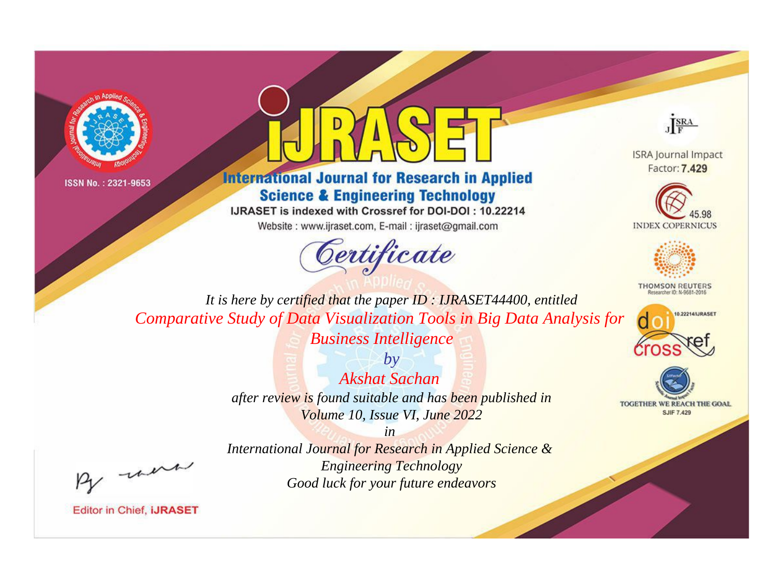



## **International Journal for Research in Applied Science & Engineering Technology**

IJRASET is indexed with Crossref for DOI-DOI: 10.22214

Website: www.ijraset.com, E-mail: ijraset@gmail.com





**ISRA Journal Impact** Factor: 7.429





**THOMSON REUTERS** 



TOGETHER WE REACH THE GOAL **SJIF 7.429** 

*It is here by certified that the paper ID : IJRASET44400, entitled Comparative Study of Data Visualization Tools in Big Data Analysis for Business Intelligence*

> *by Akshat Sachan after review is found suitable and has been published in Volume 10, Issue VI, June 2022*

, un

*International Journal for Research in Applied Science & Engineering Technology Good luck for your future endeavors*

*in*